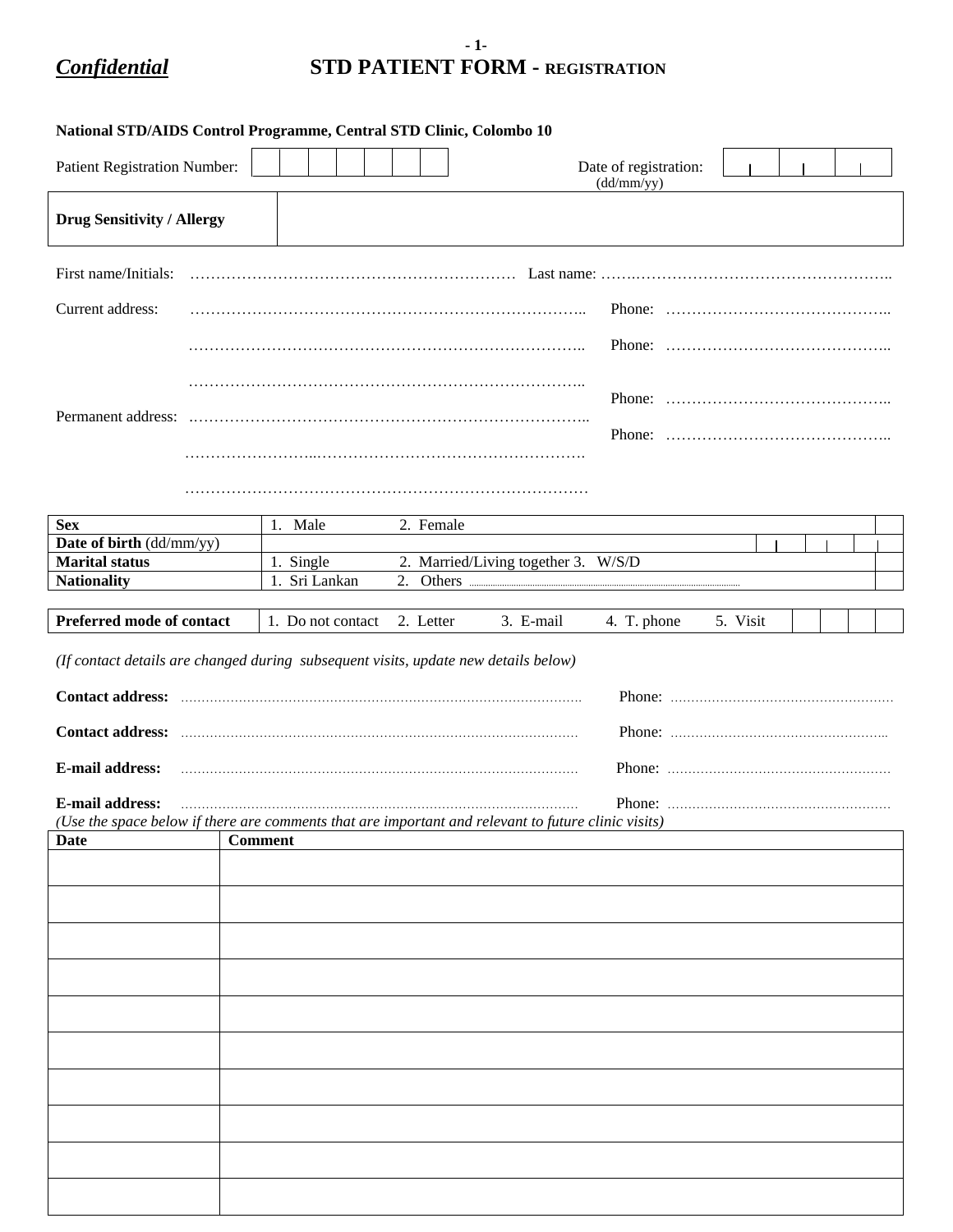## **- 1-** *Confidential* **STD PATIENT FORM - REGISTRATION**

| National STD/AIDS Control Programme, Central STD Clinic, Colombo 10                                                           |                |                   |  |           |                                     |                                     |          |  |  |  |
|-------------------------------------------------------------------------------------------------------------------------------|----------------|-------------------|--|-----------|-------------------------------------|-------------------------------------|----------|--|--|--|
| Patient Registration Number:                                                                                                  |                |                   |  |           |                                     | Date of registration:<br>(dd/mm/yy) |          |  |  |  |
| <b>Drug Sensitivity / Allergy</b>                                                                                             |                |                   |  |           |                                     |                                     |          |  |  |  |
| First name/Initials:                                                                                                          |                |                   |  |           |                                     |                                     |          |  |  |  |
| Current address:                                                                                                              |                |                   |  |           |                                     |                                     |          |  |  |  |
|                                                                                                                               |                |                   |  |           |                                     |                                     |          |  |  |  |
|                                                                                                                               |                |                   |  |           |                                     |                                     |          |  |  |  |
|                                                                                                                               |                |                   |  |           |                                     |                                     |          |  |  |  |
|                                                                                                                               |                |                   |  |           |                                     |                                     |          |  |  |  |
|                                                                                                                               |                |                   |  |           |                                     |                                     |          |  |  |  |
| <b>Sex</b>                                                                                                                    | 1. Male        |                   |  | 2. Female |                                     |                                     |          |  |  |  |
| Date of birth (dd/mm/yy)                                                                                                      |                |                   |  |           |                                     |                                     |          |  |  |  |
| <b>Marital status</b>                                                                                                         |                | 1. Single         |  |           | 2. Married/Living together 3. W/S/D |                                     |          |  |  |  |
| <b>Nationality</b>                                                                                                            |                | 1. Sri Lankan     |  |           |                                     |                                     |          |  |  |  |
| Preferred mode of contact                                                                                                     |                | 1. Do not contact |  | 2. Letter | 3. E-mail                           | 4. T. phone                         | 5. Visit |  |  |  |
| (If contact details are changed during subsequent visits, update new details below)                                           |                |                   |  |           |                                     |                                     |          |  |  |  |
|                                                                                                                               |                |                   |  |           |                                     |                                     |          |  |  |  |
|                                                                                                                               |                |                   |  |           |                                     |                                     |          |  |  |  |
| <b>E-mail address:</b>                                                                                                        |                |                   |  |           |                                     |                                     |          |  |  |  |
| <b>E-mail address:</b><br>(Use the space below if there are comments that are important and relevant to future clinic visits) |                |                   |  |           |                                     |                                     |          |  |  |  |
| Date                                                                                                                          | <b>Comment</b> |                   |  |           |                                     |                                     |          |  |  |  |
|                                                                                                                               |                |                   |  |           |                                     |                                     |          |  |  |  |
|                                                                                                                               |                |                   |  |           |                                     |                                     |          |  |  |  |
|                                                                                                                               |                |                   |  |           |                                     |                                     |          |  |  |  |
|                                                                                                                               |                |                   |  |           |                                     |                                     |          |  |  |  |
|                                                                                                                               |                |                   |  |           |                                     |                                     |          |  |  |  |
|                                                                                                                               |                |                   |  |           |                                     |                                     |          |  |  |  |
|                                                                                                                               |                |                   |  |           |                                     |                                     |          |  |  |  |
|                                                                                                                               |                |                   |  |           |                                     |                                     |          |  |  |  |
|                                                                                                                               |                |                   |  |           |                                     |                                     |          |  |  |  |
|                                                                                                                               |                |                   |  |           |                                     |                                     |          |  |  |  |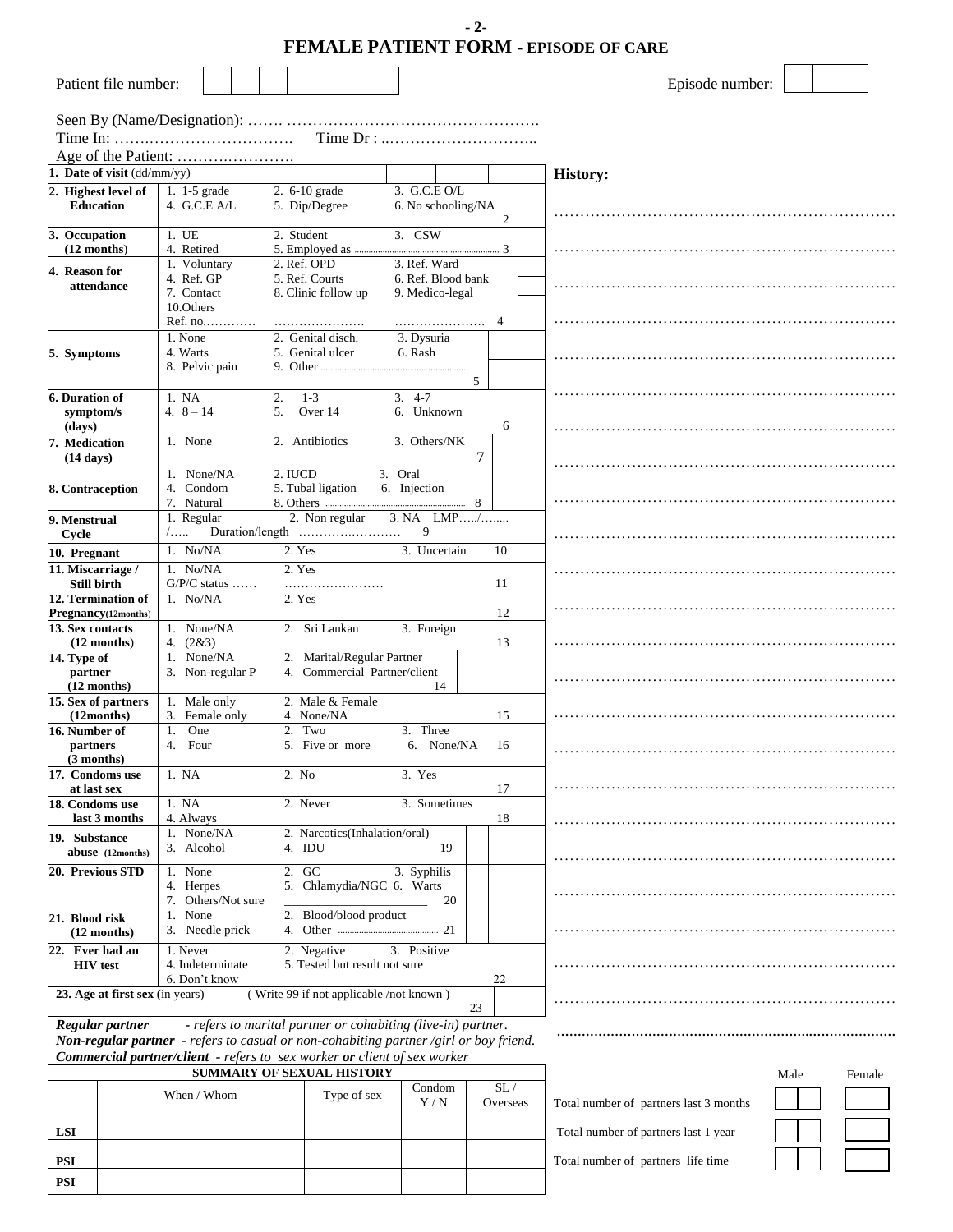|                                      |                              |  |                     |                 |                        |                                         |                                                                           | - 2- |    | <b>FEMALE PATIENT FORM - EPISODE OF CARE</b> |
|--------------------------------------|------------------------------|--|---------------------|-----------------|------------------------|-----------------------------------------|---------------------------------------------------------------------------|------|----|----------------------------------------------|
| Patient file number:                 |                              |  |                     |                 |                        |                                         |                                                                           |      |    | Episode number:                              |
|                                      |                              |  |                     |                 |                        |                                         | Time $Dr: \ldots \ldots \ldots \ldots \ldots \ldots \ldots \ldots \ldots$ |      |    |                                              |
|                                      |                              |  |                     |                 |                        |                                         |                                                                           |      |    |                                              |
| 1. Date of visit (dd/mm/yy)          |                              |  |                     |                 |                        |                                         |                                                                           |      |    | <b>History:</b>                              |
| 2. Highest level of                  | 1. $1-5$ grade               |  | 2. 6-10 grade       |                 |                        |                                         | 3. G.C.E O/L                                                              |      |    |                                              |
| <b>Education</b>                     | 4. G.C.E A/L                 |  | 5. Dip/Degree       |                 |                        |                                         | 6. No schooling/NA                                                        |      | 2  |                                              |
| 3. Occupation                        | 1. UE                        |  | 2. Student          |                 |                        |                                         | $3.$ CSW                                                                  |      |    |                                              |
| $(12$ months)                        | 4. Retired                   |  |                     |                 |                        |                                         |                                                                           |      |    |                                              |
| 4. Reason for                        | 1. Voluntary                 |  | 2. Ref. OPD         |                 |                        |                                         | 3. Ref. Ward                                                              |      |    |                                              |
| attendance                           | 4. Ref. GP                   |  | 5. Ref. Courts      |                 |                        |                                         | 6. Ref. Blood bank                                                        |      |    |                                              |
|                                      | 7. Contact                   |  | 8. Clinic follow up |                 |                        |                                         | 9. Medico-legal                                                           |      |    |                                              |
|                                      | 10. Others                   |  |                     |                 |                        |                                         |                                                                           |      |    |                                              |
|                                      | Ref. no                      |  |                     |                 |                        |                                         |                                                                           |      | 4  |                                              |
|                                      | 1. None                      |  | 2. Genital disch.   |                 |                        |                                         | 3. Dysuria                                                                |      |    |                                              |
| 5. Symptoms                          | 4. Warts                     |  | 5. Genital ulcer    |                 |                        |                                         | 6. Rash                                                                   |      |    |                                              |
|                                      | 8. Pelvic pain               |  |                     |                 |                        |                                         |                                                                           |      |    |                                              |
|                                      |                              |  |                     |                 |                        |                                         |                                                                           | 5    |    |                                              |
| <b>6. Duration of</b>                | 1. NA                        |  | 2.<br>$1 - 3$       |                 |                        | $3.4 - 7$                               |                                                                           |      |    |                                              |
| symptom/s                            | 4. $8 - 14$                  |  | 5.                  | Over 14         |                        |                                         | 6. Unknown                                                                |      |    |                                              |
| (days)                               |                              |  |                     |                 |                        |                                         |                                                                           |      | 6  |                                              |
| 7. Medication                        | 1. None                      |  | 2. Antibiotics      |                 |                        |                                         | 3. Others/NK                                                              |      |    |                                              |
| $(14 \text{ days})$                  |                              |  |                     |                 |                        |                                         |                                                                           | 7    |    |                                              |
|                                      | 1. None/NA                   |  | 2. IUCD             |                 |                        | 3. Oral                                 |                                                                           |      |    |                                              |
| 8. Contraception                     | 4. Condom                    |  | 5. Tubal ligation   |                 |                        | 6. Injection                            |                                                                           |      |    |                                              |
|                                      | 7. Natural                   |  |                     |                 |                        |                                         |                                                                           |      |    |                                              |
| 9. Menstrual                         | 1. Regular                   |  |                     | 2. Non regular  |                        |                                         | $3. NA$ LMP/                                                              |      |    |                                              |
| Cycle                                | /.                           |  |                     |                 |                        |                                         | 9                                                                         |      |    |                                              |
| 10. Pregnant                         | 1. No/NA                     |  | 2. Yes              |                 |                        |                                         | 3. Uncertain                                                              |      | 10 |                                              |
| 11. Miscarriage /                    | $1.$ No/NA                   |  | 2. Yes              |                 |                        |                                         |                                                                           |      |    |                                              |
| <b>Still birth</b>                   | $G/P/C$ status               |  |                     |                 |                        |                                         |                                                                           |      | 11 |                                              |
| 12. Termination of                   | 1. No/NA                     |  | 2. Yes              |                 |                        |                                         |                                                                           |      |    |                                              |
| Pregnancy(12months)                  |                              |  |                     |                 |                        |                                         |                                                                           |      | 12 |                                              |
| 13. Sex contacts                     | 1. None/NA                   |  |                     | 2. Sri Lankan   |                        |                                         | 3. Foreign                                                                |      |    |                                              |
| $(12$ months)                        | 4. $(2&3)$                   |  |                     |                 |                        |                                         |                                                                           |      | 13 |                                              |
| 14. Type of                          | 1. None/NA                   |  |                     |                 |                        | 2. Marital/Regular Partner              |                                                                           |      |    |                                              |
| partner                              | 3. Non-regular P             |  |                     |                 |                        | 4. Commercial Partner/client            |                                                                           |      |    |                                              |
| $(12$ months)<br>15. Sex of partners | 1. Male only                 |  |                     |                 | 2. Male & Female       |                                         | 14                                                                        |      |    |                                              |
| (12 months)                          | 3.<br>Female only            |  |                     | 4. None/NA      |                        |                                         |                                                                           |      | 15 |                                              |
| 16. Number of                        | One<br>1.                    |  | 2. Two              |                 |                        |                                         | 3. Three                                                                  |      |    |                                              |
| partners                             | 4. Four                      |  |                     | 5. Five or more |                        |                                         | 6. None/NA                                                                |      | 16 |                                              |
| $(3$ months)                         |                              |  |                     |                 |                        |                                         |                                                                           |      |    |                                              |
| 17. Condoms use                      | 1. NA                        |  | 2. No               |                 |                        |                                         | 3. Yes                                                                    |      |    |                                              |
| at last sex                          |                              |  |                     |                 |                        |                                         |                                                                           |      | 17 |                                              |
| 18. Condoms use                      | 1. NA                        |  | 2. Never            |                 |                        |                                         | 3. Sometimes                                                              |      |    |                                              |
| last 3 months                        | 4. Always                    |  |                     |                 |                        |                                         |                                                                           |      | 18 |                                              |
| 19. Substance                        | 1. None/NA                   |  |                     |                 |                        | 2. Narcotics(Inhalation/oral)           |                                                                           |      |    |                                              |
| abuse (12months)                     | 3. Alcohol                   |  | 4. IDU              |                 |                        |                                         | 19                                                                        |      |    |                                              |
|                                      |                              |  |                     |                 |                        |                                         |                                                                           |      |    |                                              |
| 20. Previous STD                     | 1. None<br>4. Herpes         |  | 2. GC               |                 |                        | 5. Chlamydia/NGC 6. Warts               | 3. Syphilis                                                               |      |    |                                              |
|                                      | 7. Others/Not sure           |  |                     |                 |                        |                                         | 20                                                                        |      |    |                                              |
| 21. Blood risk                       | 1. None                      |  |                     |                 | 2. Blood/blood product |                                         |                                                                           |      |    |                                              |
| $(12$ months)                        | 3. Needle prick              |  |                     |                 |                        |                                         |                                                                           |      |    |                                              |
|                                      |                              |  |                     |                 |                        |                                         |                                                                           |      |    |                                              |
| 22. Ever had an                      | 1. Never<br>4. Indeterminate |  |                     | 2. Negative     |                        |                                         | 3. Positive                                                               |      |    |                                              |
| <b>HIV</b> test                      | 6. Don't know                |  |                     |                 |                        | 5. Tested but result not sure           |                                                                           |      | 22 |                                              |
| 23. Age at first sex (in years)      |                              |  |                     |                 |                        | (Write 99 if not applicable /not known) |                                                                           |      |    |                                              |
|                                      |                              |  |                     |                 |                        |                                         |                                                                           | 23   |    |                                              |
| Regular partner                      |                              |  |                     |                 |                        |                                         | - refers to marital partner or cohabiting (live-in) partner               |      |    |                                              |

| ngana pama | <u>Tejers to martial partner or condoming thre influence.</u>                               |
|------------|---------------------------------------------------------------------------------------------|
|            | <b>Non-regular partner</b> - refers to casual or non-cohabiting partner/girl or boy friend. |
|            | <b>Commercial partner/client</b> - refers to sex worker or client of sex worker             |

| <b>SUMMARY OF SEXUAL HISTORY</b> |             |             |               |                 |  |  |  |  |  |
|----------------------------------|-------------|-------------|---------------|-----------------|--|--|--|--|--|
|                                  | When / Whom | Type of sex | Condom<br>Y/N | SL.<br>Overseas |  |  |  |  |  |
| LSI                              |             |             |               |                 |  |  |  |  |  |
| <b>PSI</b>                       |             |             |               |                 |  |  |  |  |  |
| <b>PSI</b>                       |             |             |               |                 |  |  |  |  |  |

| Total number of partners last 3 months |
|----------------------------------------|

**…………………………………………………….…………………** 

Total number of partners last 1 year Total number of partners life time

Male Female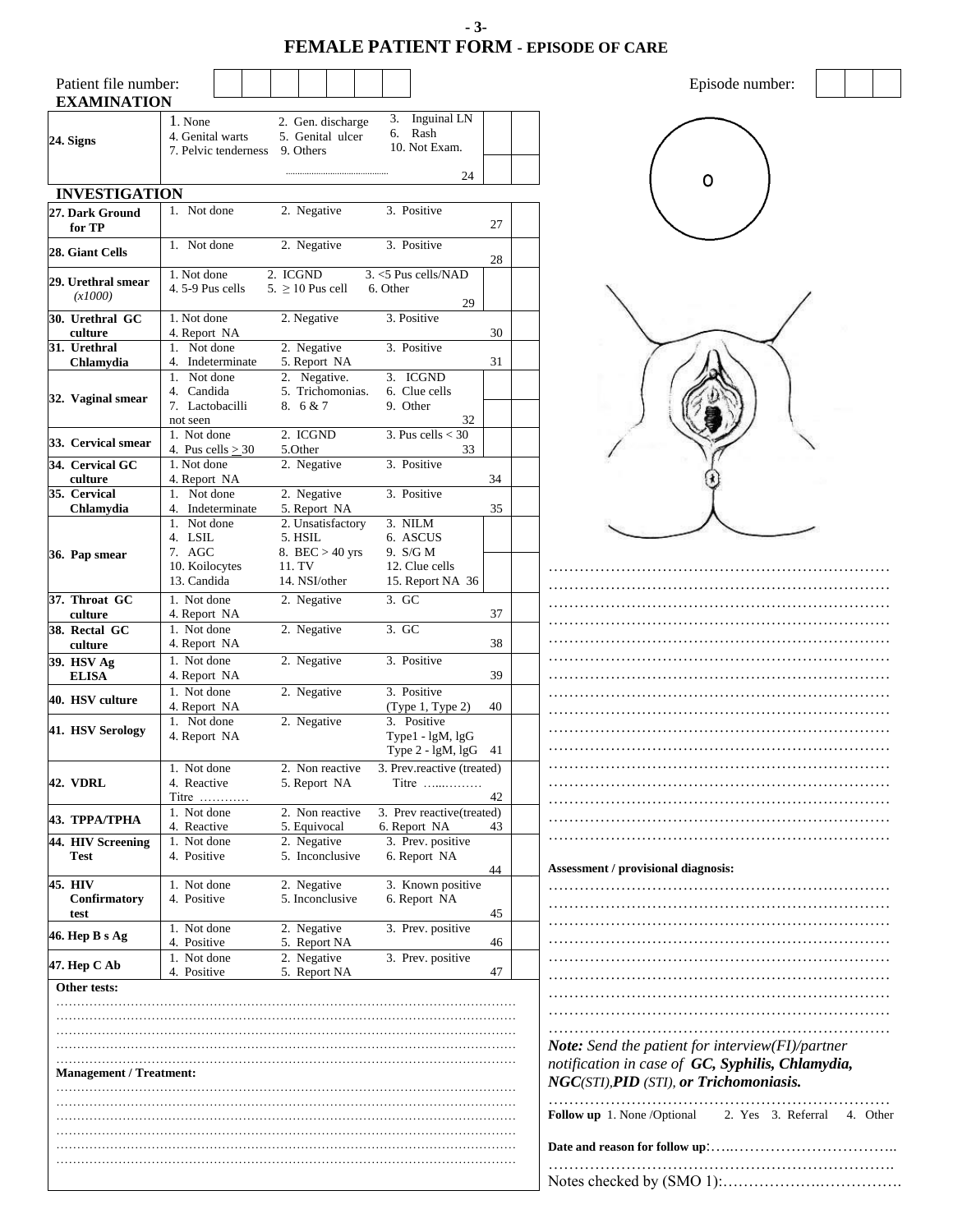**- 3- FEMALE PATIENT FORM - EPISODE OF CARE**

| Patient file number:<br><b>EXAMINATION</b> |                                                     |                                                    |                                                                 |                              |
|--------------------------------------------|-----------------------------------------------------|----------------------------------------------------|-----------------------------------------------------------------|------------------------------|
| 24. Signs                                  | 1. None<br>4. Genital warts<br>7. Pelvic tenderness | 2. Gen. discharge<br>5. Genital ulcer<br>9. Others | Inguinal LN<br>3.<br>Rash<br>6.<br>10. Not Exam.                |                              |
|                                            |                                                     |                                                    | 24                                                              |                              |
| <b>INVESTIGATION</b>                       | 1. Not done                                         |                                                    |                                                                 |                              |
| 27. Dark Ground<br>for TP                  |                                                     | 2. Negative                                        | 3. Positive                                                     | 27                           |
| 28. Giant Cells                            | 1. Not done                                         | 2. Negative                                        | 3. Positive                                                     | 28                           |
| 29. Urethral smear<br>(x1000)              | 1. Not done<br>4.5-9 Pus cells                      | 2. ICGND<br>$5. \geq 10$ Pus cell                  | 3. <5 Pus cells/NAD<br>6. Other<br>29                           |                              |
| 30. Urethral GC<br>culture                 | 1. Not done<br>4. Report NA                         | 2. Negative                                        | 3. Positive                                                     | 30                           |
| 31. Urethral<br>Chlamydia                  | 1. Not done<br>4. Indeterminate                     | 2. Negative<br>5. Report NA                        | 3. Positive                                                     | 31                           |
|                                            | 1. Not done                                         | 2. Negative.                                       | 3. ICGND                                                        |                              |
| 32. Vaginal smear                          | 4. Candida<br>7. Lactobacilli<br>not seen           | 5. Trichomonias.<br>8.6 & 7                        | 6. Clue cells<br>9. Other<br>32                                 |                              |
| 33. Cervical smear                         | 1. Not done<br>4. Pus cells $>$ 30                  | 2. ICGND<br>5.Other                                | 3. Pus cells $<$ 30<br>33                                       |                              |
| 34. Cervical GC<br>culture                 | 1. Not done<br>4. Report NA                         | 2. Negative                                        | 3. Positive                                                     | 34                           |
| 35. Cervical                               | 1. Not done                                         | 2. Negative                                        | 3. Positive                                                     |                              |
| Chlamydia                                  | 4. Indeterminate<br>1. Not done                     | 5. Report NA<br>2. Unsatisfactory                  | 3. NILM                                                         | 35                           |
|                                            | 4. LSIL                                             | 5. HSIL                                            | 6. ASCUS                                                        |                              |
| 36. Pap smear                              | 7. AGC<br>10. Koilocytes                            | 8. BEC $> 40$ yrs<br>11. TV                        | 9. S/G M<br>12. Clue cells                                      |                              |
|                                            | 13. Candida                                         | 14. NSI/other                                      | 15. Report NA 36                                                |                              |
| 37. Throat GC                              | 1. Not done                                         | 2. Negative                                        | 3. GC                                                           |                              |
| culture                                    | 4. Report NA                                        |                                                    |                                                                 | 37                           |
| 38. Rectal GC<br>culture                   | 1. Not done<br>4. Report NA                         | 2. Negative                                        | 3. GC                                                           | 38                           |
| 39. HSV Ag<br><b>ELISA</b>                 | 1. Not done<br>4. Report NA                         | 2. Negative                                        | 3. Positive                                                     | 39                           |
| 40. HSV culture                            | 1. Not done<br>4. Report NA                         | 2. Negative                                        | 3. Positive<br>(Type 1, Type 2)                                 | 40                           |
| 41. HSV Serology                           | 1. Not done<br>4. Report NA                         | 2. Negative                                        | 3. Positive<br>Type1 - lgM, lgG<br>Type 2 - lgM, lgG            | 41                           |
| <b>42. VDRL</b>                            | 1. Not done<br>4. Reactive<br>Titre $\dots\dots$    | 2. Non reactive<br>5. Report NA                    | 3. Prev.reactive (treated)<br>Titre $\dots\dots\dots\dots\dots$ | 42                           |
| 43. ТРРА/ТРНА                              | 1. Not done                                         | 2. Non reactive                                    | 3. Prev reactive(treated)                                       |                              |
|                                            | 4. Reactive                                         | 5. Equivocal                                       | 6. Report NA                                                    | 43                           |
| 44. HIV Screening<br>Test                  | 1. Not done<br>4. Positive                          | 2. Negative<br>5. Inconclusive                     | 3. Prev. positive<br>6. Report NA                               | Assessmer<br>44              |
| 45. HIV<br>Confirmatory                    | 1. Not done<br>4. Positive                          | 2. Negative<br>5. Inconclusive                     | 3. Known positive<br>6. Report NA                               |                              |
| test                                       | 1. Not done                                         | 2. Negative                                        | 3. Prev. positive                                               | 45                           |
| 46. Hep B s Ag                             | 4. Positive<br>1. Not done                          | 5. Report NA<br>2. Negative                        | 3. Prev. positive                                               | 46                           |
| 47. Hep C Ab                               | 4. Positive                                         | 5. Report NA                                       |                                                                 | 47                           |
| Other tests:                               |                                                     |                                                    |                                                                 |                              |
|                                            |                                                     |                                                    |                                                                 | .                            |
|                                            |                                                     |                                                    |                                                                 |                              |
|                                            |                                                     |                                                    |                                                                 | <b>Note:</b> Se<br>notificat |
| <b>Management / Treatment:</b>             |                                                     |                                                    |                                                                 | NGC(ST)                      |
|                                            |                                                     |                                                    |                                                                 | <b>Follow</b> up             |
|                                            |                                                     |                                                    |                                                                 | Date and i                   |
|                                            |                                                     |                                                    |                                                                 | Notes ch                     |

| Assessment / provisional diagnosis:<br>Note: Send the patient for interview(FI)/partner<br>notification in case of GC, Syphilis, Chlamydia,<br>NGC(STI), PID (STI), or Trichomoniasis.<br>.<br>Follow up 1. None /Optional 2. Yes 3. Referral 4. Other |  |
|--------------------------------------------------------------------------------------------------------------------------------------------------------------------------------------------------------------------------------------------------------|--|
|                                                                                                                                                                                                                                                        |  |
|                                                                                                                                                                                                                                                        |  |
|                                                                                                                                                                                                                                                        |  |
|                                                                                                                                                                                                                                                        |  |
|                                                                                                                                                                                                                                                        |  |

Episode number:

reason for follow up<sup>:</sup>……………………………………… …………………………………………………………. Notes checked by (SMO 1):……………….…………….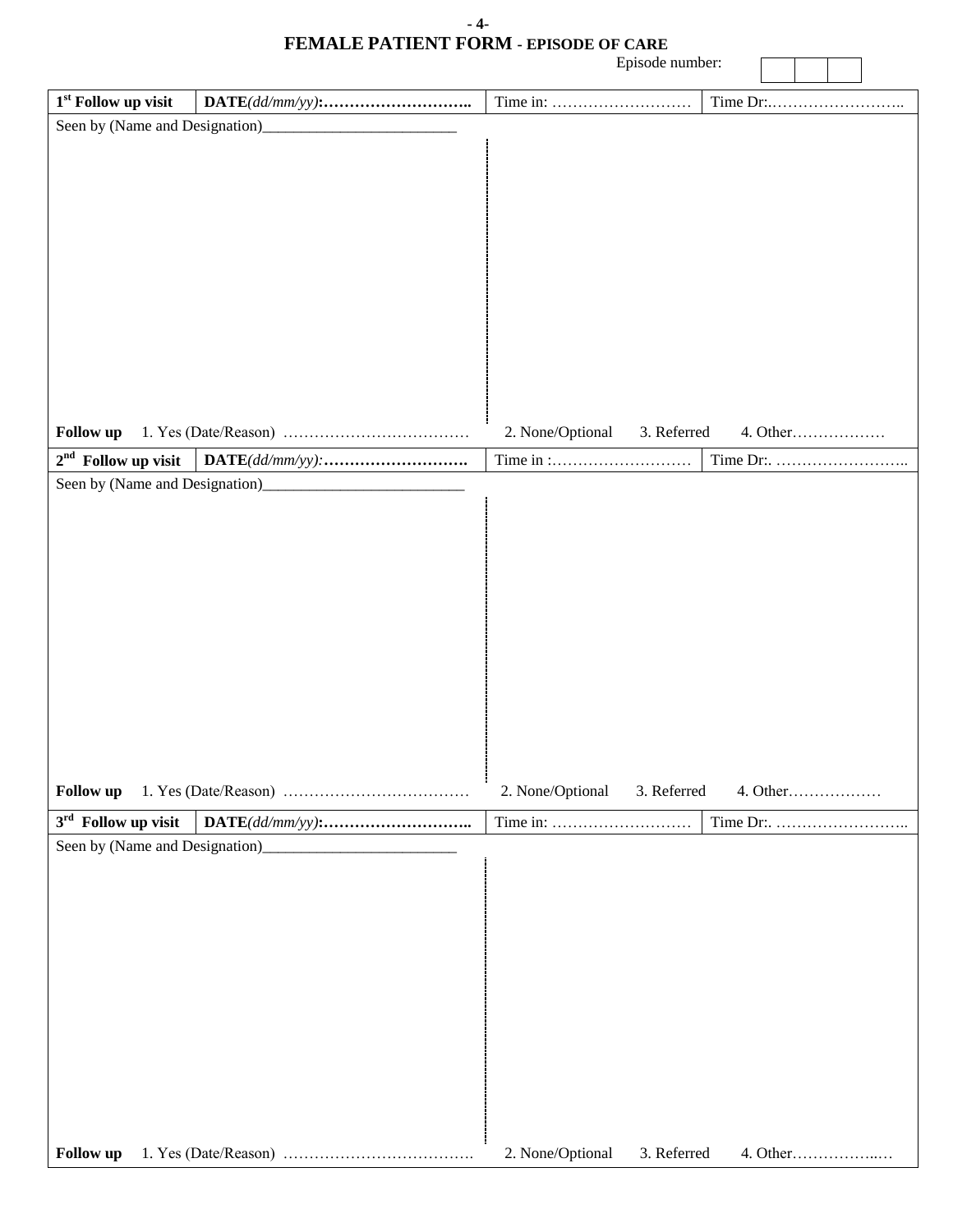| - 4-                                         |  |
|----------------------------------------------|--|
| <b>FEMALE PATIENT FORM - EPISODE OF CARE</b> |  |

|                                | Episode number:                 |          |
|--------------------------------|---------------------------------|----------|
| $1^{\rm st}$ Follow up visit   |                                 |          |
| Seen by (Name and Designation) |                                 |          |
|                                |                                 |          |
|                                |                                 |          |
|                                |                                 |          |
|                                |                                 |          |
|                                |                                 |          |
|                                |                                 |          |
|                                |                                 |          |
|                                |                                 |          |
|                                |                                 |          |
|                                |                                 |          |
| Follow up                      | 3. Referred<br>2. None/Optional | 4. Other |
| $2nd$ Follow up visit          |                                 |          |
|                                |                                 |          |
|                                |                                 |          |
|                                |                                 |          |
|                                |                                 |          |
|                                |                                 |          |
|                                |                                 |          |
|                                |                                 |          |
|                                |                                 |          |
|                                |                                 |          |
|                                |                                 |          |
|                                |                                 |          |
| Follow up                      | 2. None/Optional<br>3. Referred |          |
| $3rd$ Follow up visit          |                                 |          |
|                                |                                 |          |
|                                |                                 |          |
|                                |                                 |          |
|                                |                                 |          |
|                                |                                 |          |
|                                |                                 |          |
|                                |                                 |          |
|                                |                                 |          |
|                                |                                 |          |
|                                |                                 |          |
|                                |                                 |          |
|                                |                                 |          |
| Follow up                      | 2. None/Optional<br>3. Referred | 4. Other |